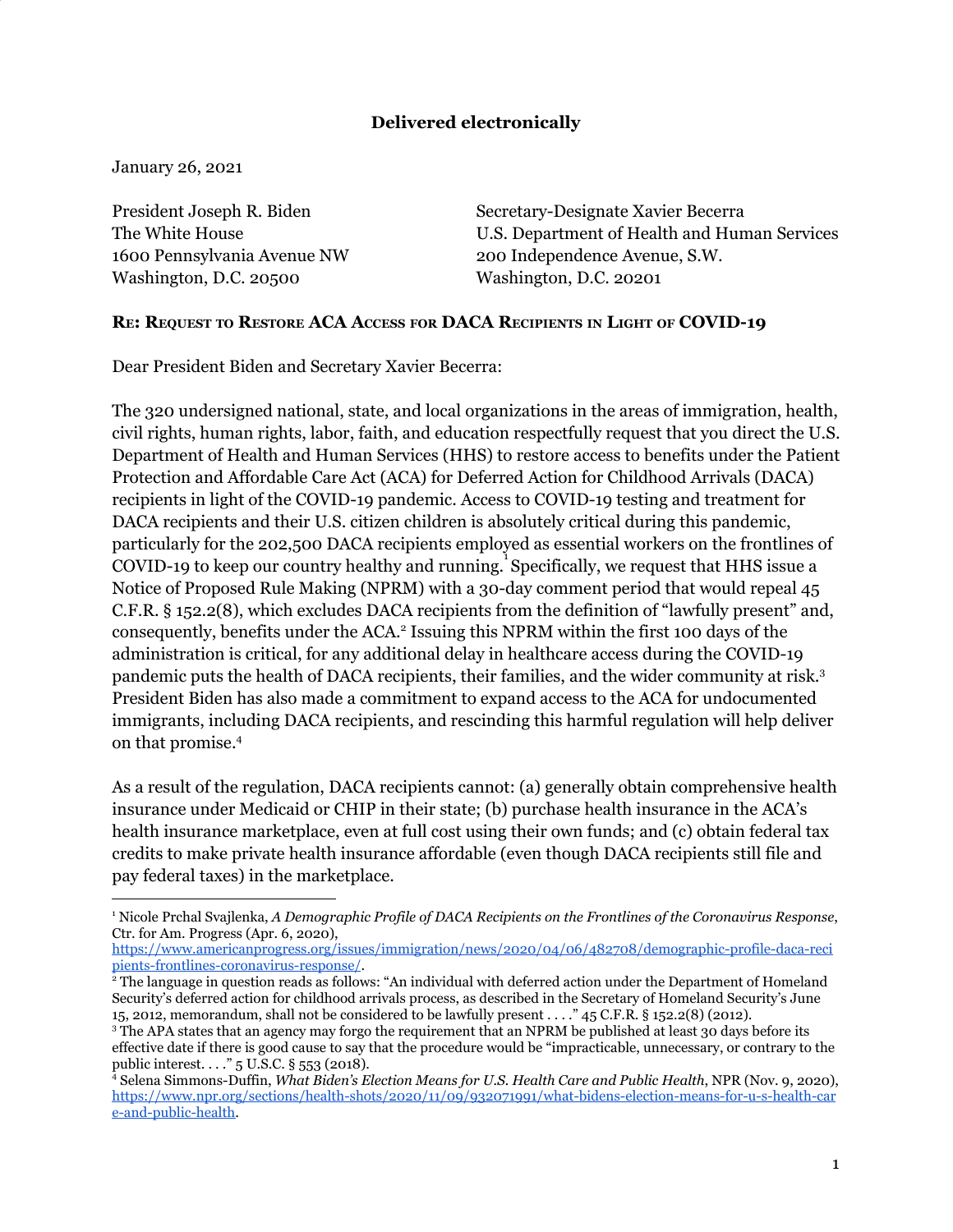# **Delivered electronically**

January 26, 2021

President Joseph R. Biden The White House 1600 Pennsylvania Avenue NW Washington, D.C. 20500

Secretary-Designate Xavier Becerra U.S. Department of Health and Human Services 200 Independence Avenue, S.W. Washington, D.C. 20201

## **RE: REQUEST TO RESTORE ACA ACCESS FOR DACA RECIPIENTS IN LIGHT OF COVID-19**

Dear President Biden and Secretary Xavier Becerra:

The 320 undersigned national, state, and local organizations in the areas of immigration, health, civil rights, human rights, labor, faith, and education respectfully request that you direct the U.S. Department of Health and Human Services (HHS) to restore access to benefits under the Patient Protection and Affordable Care Act (ACA) for Deferred Action for Childhood Arrivals (DACA) recipients in light of the COVID-19 pandemic. Access to COVID-19 testing and treatment for DACA recipients and their U.S. citizen children is absolutely critical during this pandemic, particularly for the 202,500 DACA recipients employed as essential workers on the frontlines of COVID-19 to keep our country healthy and running. Specifically, we request that HHS issue a Notice of Proposed Rule Making (NPRM) with a 30-day comment period that would repeal 45 C.F.R. § 152.2(8), which excludes DACA recipients from the definition of "lawfully present" and, consequently, benefits under the ACA.<sup>2</sup> Issuing this NPRM within the first 100 days of the administration is critical, for any additional delay in healthcare access during the COVID-19 pandemic puts the health of DACA recipients, their families, and the wider community at risk. 3 President Biden has also made a commitment to expand access to the ACA for undocumented immigrants, including DACA recipients, and rescinding this harmful regulation will help deliver on that promise. 4

As a result of the regulation, DACA recipients cannot: (a) generally obtain comprehensive health insurance under Medicaid or CHIP in their state; (b) purchase health insurance in the ACA's health insurance marketplace, even at full cost using their own funds; and (c) obtain federal tax credits to make private health insurance affordable (even though DACA recipients still file and pay federal taxes) in the marketplace.

<sup>1</sup> Nicole Prchal Svajlenka, *A Demographic Profile of DACA Recipients on the Frontlines of the Coronavirus Response*, Ctr. for Am. Progress (Apr. 6, 2020),

https://www.americanprogress.org/issues/immigration/news/2020/04/06/482708/demographic-profile-daca-reci pients-frontlines-coronavirus-response/.

<sup>2</sup> The language in question reads as follows: "An individual with deferred action under the Department of Homeland Security's deferred action for childhood arrivals process, as described in the Secretary of Homeland Security's June 15, 2012, memorandum, shall not be considered to be lawfully present . . . ." 45 C.F.R. § 152.2(8) (2012).

<sup>&</sup>lt;sup>3</sup> The APA states that an agency may forgo the requirement that an NPRM be published at least 30 days before its effective date if there is good cause to say that the procedure would be "impracticable, unnecessary, or contrary to the public interest. . . ." 5 U.S.C. § 553 (2018).

<sup>4</sup> Selena Simmons-Duffin, *What Biden's Election Means for U.S. Health Care and Public Health*, NPR (Nov. 9, 2020), https://www.npr.org/sections/health-shots/2020/11/09/932071991/what-bidens-election-means-for-u-s-health-car e-and-public-health.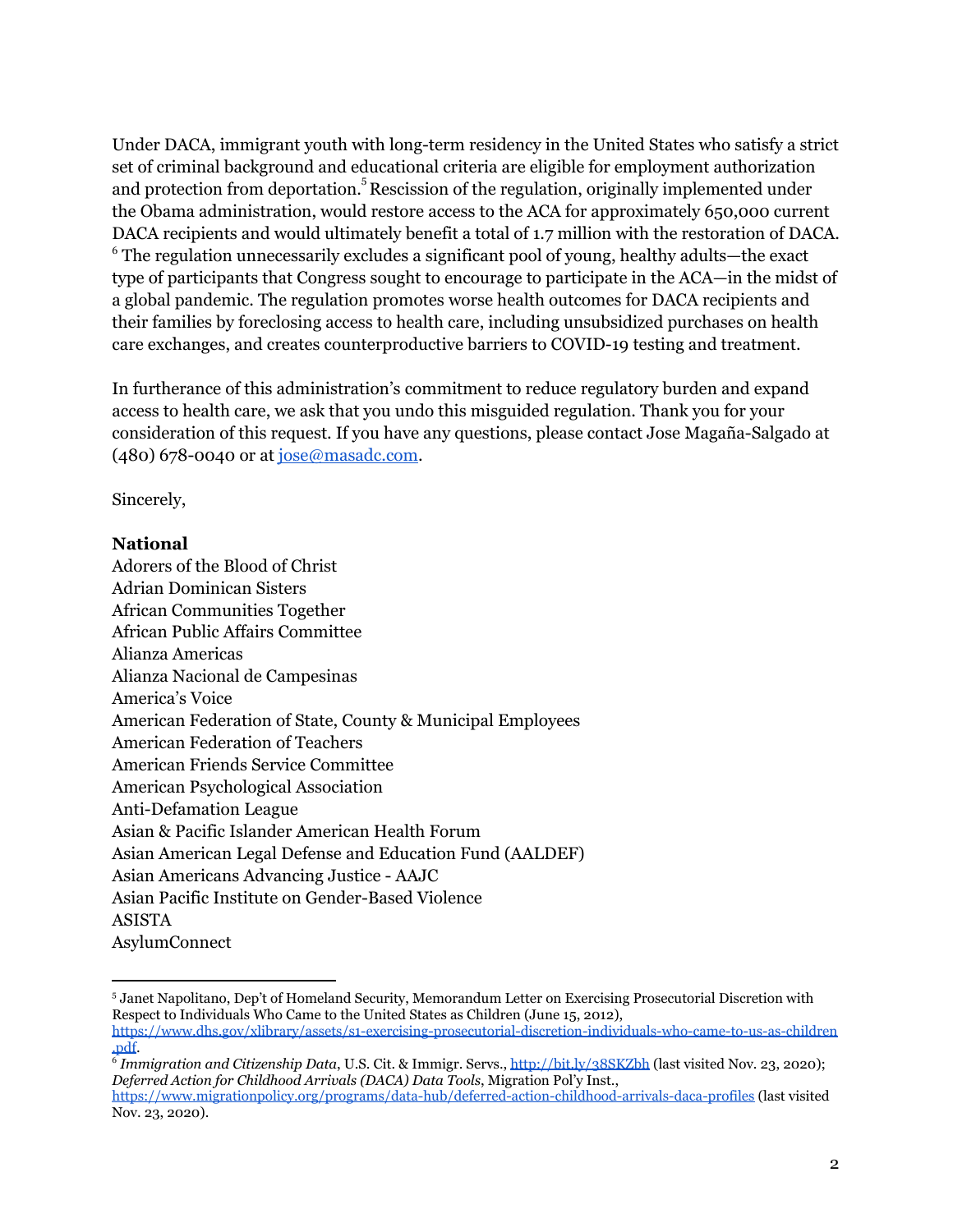Under DACA, immigrant youth with long-term residency in the United States who satisfy a strict set of criminal background and educational criteria are eligible for employment authorization and protection from deportation.<sup>5</sup> Rescission of the regulation, originally implemented under the Obama administration, would restore access to the ACA for approximately 650,000 current DACA recipients and would ultimately benefit a total of 1.7 million with the restoration of DACA.  $6$  The regulation unnecessarily excludes a significant pool of young, healthy adults—the exact type of participants that Congress sought to encourage to participate in the ACA—in the midst of a global pandemic. The regulation promotes worse health outcomes for DACA recipients and their families by foreclosing access to health care, including unsubsidized purchases on health care exchanges, and creates counterproductive barriers to COVID-19 testing and treatment.

In furtherance of this administration's commitment to reduce regulatory burden and expand access to health care, we ask that you undo this misguided regulation. Thank you for your consideration of this request. If you have any questions, please contact Jose Magaña-Salgado at (480) 678-0040 or at jose@masadc.com.

Sincerely,

#### **National**

Adorers of the Blood of Christ Adrian Dominican Sisters African Communities Together African Public Affairs Committee Alianza Americas Alianza Nacional de Campesinas America's Voice American Federation of State, County & Municipal Employees American Federation of Teachers American Friends Service Committee American Psychological Association Anti-Defamation League Asian & Pacific Islander American Health Forum Asian American Legal Defense and Education Fund (AALDEF) Asian Americans Advancing Justice - AAJC Asian Pacific Institute on Gender-Based Violence ASISTA AsylumConnect

<sup>5</sup> Janet Napolitano, Dep't of Homeland Security, Memorandum Letter on Exercising Prosecutorial Discretion with Respect to Individuals Who Came to the United States as Children (June 15, 2012),

https://www.dhs.gov/xlibrary/assets/s1-exercising-prosecutorial-discretion-individuals-who-came-to-us-as-children .pdf. 6 *Immigration and Citizenship Data*, U.S. Cit. & Immigr. Servs., http://bit.ly/38SKZbh (last visited Nov. 23, 2020);

*Deferred Action for Childhood Arrivals (DACA) Data Tools*, Migration Pol'y Inst.,

https://www.migrationpolicy.org/programs/data-hub/deferred-action-childhood-arrivals-daca-profiles (last visited Nov. 23, 2020).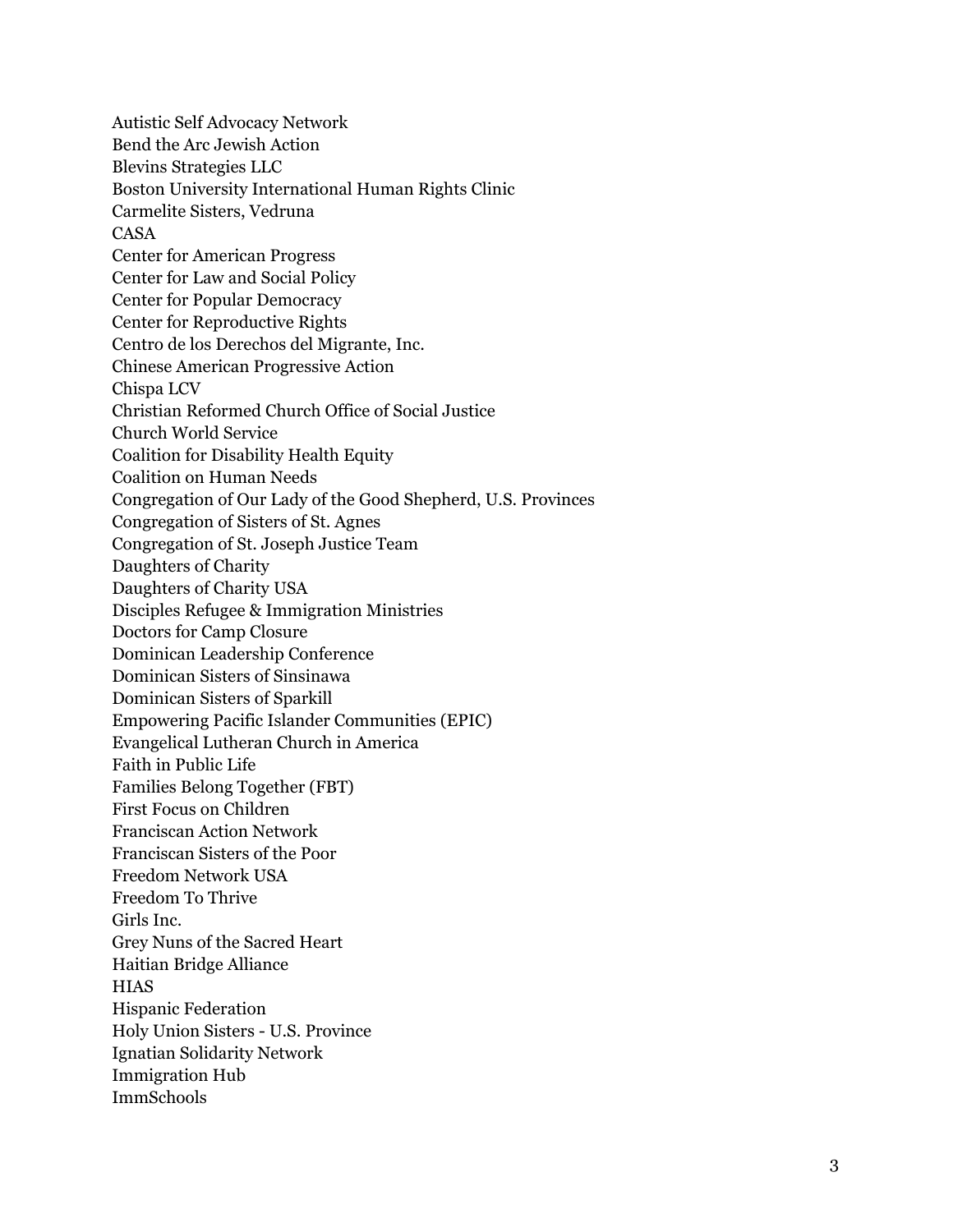Autistic Self Advocacy Network Bend the Arc Jewish Action Blevins Strategies LLC Boston University International Human Rights Clinic Carmelite Sisters, Vedruna CA S A Center for American Progress Center for Law and Social Policy Center for Popular Democracy Center for Reproductive Rights Centro de los Derechos del Migrante, Inc. Chinese American Progressive Action Chispa LCV Christian Reformed Church Office of Social Justice Church World Service Coalition for Disability Health Equity Coalition on Human Needs Congregation of Our Lady of the Good Shepherd, U.S. Provinces Congregation of Sisters of St. Agnes Congregation of St. Joseph Justice Team Daughters of Charity Daughters of Charity USA Disciples Refugee & Immigration Ministries Doctors for Camp Closure Dominican Leadership Conference Dominican Sisters of Sinsinawa Dominican Sisters of Sparkill Empowering Pacific Islander Communities (EPIC) Evangelical Lutheran Church in America Faith in Public Life Families Belong Together (FBT) First Focus on Children Franciscan Action Network Franciscan Sisters of the Poor Freedom Network USA Freedom To Thrive Girls Inc. Grey Nuns of the Sacred Heart Haitian Bridge Alliance H I A S Hispanic Federation Holy Union Sisters - U.S. Province Ignatian Solidarity Network Immigration Hub I m m S c h o o l s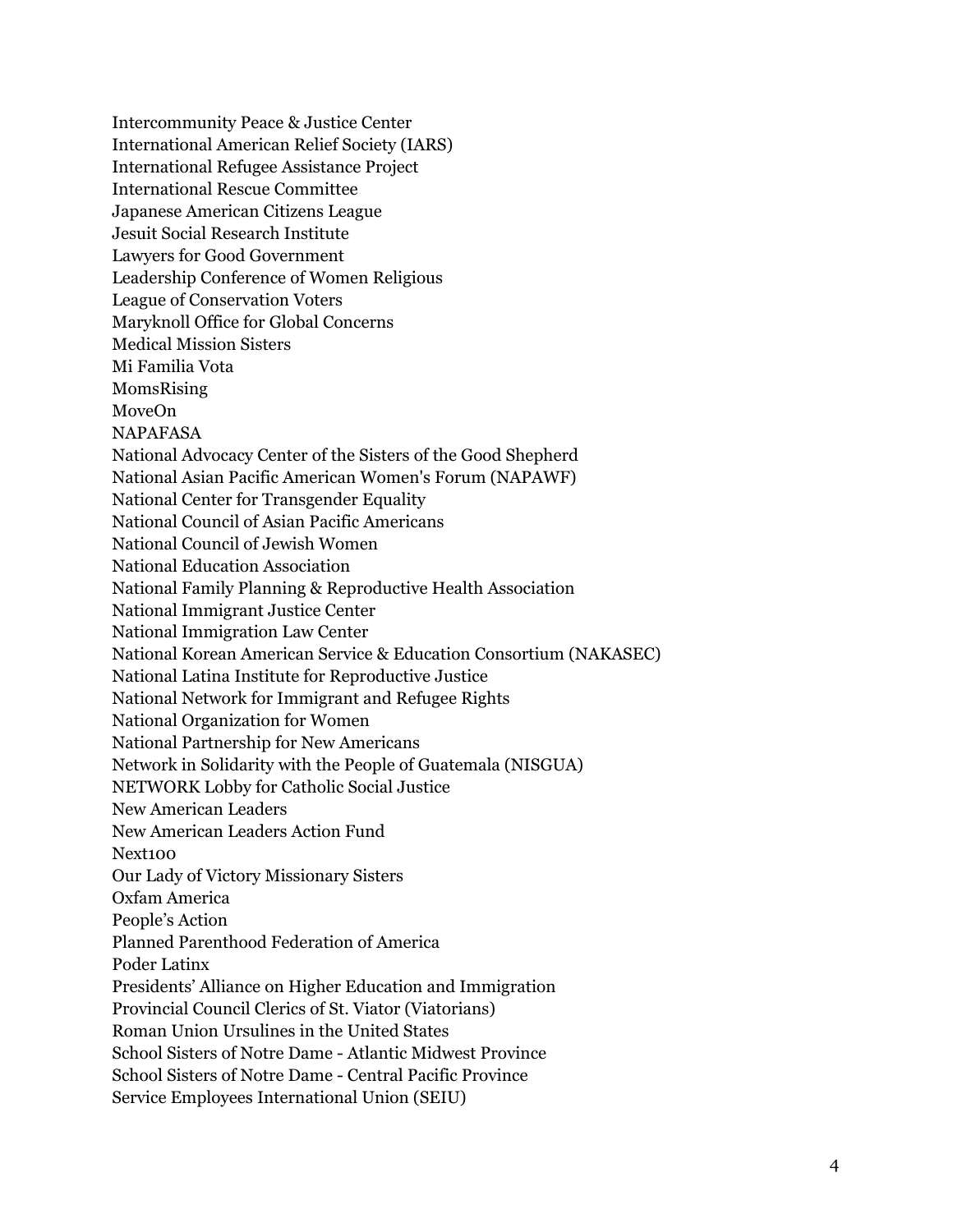Intercommunity Peace & Justice Center International American Relief Society (IARS) International Refugee Assistance Project International Rescue Committee Japanese American Citizens League Jesuit Social Research Institute Lawyers for Good Government Leadership Conference of Women Religious League of Conservation Voters Maryknoll Office for Global Concerns Medical Mission Sisters Mi Familia Vota MomsRising MoveOn NAPAFASA National Advocacy Center of the Sisters of the Good Shepherd National Asian Pacific American Women's Forum (NAPAWF) National Center for Transgender Equality National Council of Asian Pacific Americans National Council of Jewish Women National Education Association National Family Planning & Reproductive Health Association National Immigrant Justice Center National Immigration Law Center National Korean American Service & Education Consortium (NAKASEC) National Latina Institute for Reproductive Justice National Network for Immigrant and Refugee Rights National Organization for Women National Partnership for New Americans Network in Solidarity with the People of Guatemala (NISGUA) NETWORK Lobby for Catholic Social Justice New American Leaders New American Leaders Action Fund Next100 Our Lady of Victory Missionary Sisters Oxfam America People's Action Planned Parenthood Federation of America Poder Latinx Presidents' Alliance on Higher Education and Immigration Provincial Council Clerics of St. Viator (Viatorians) Roman Union Ursulines in the United States School Sisters of Notre Dame - Atlantic Midwest Province School Sisters of Notre Dame - Central Pacific Province Service Employees International Union (SEIU)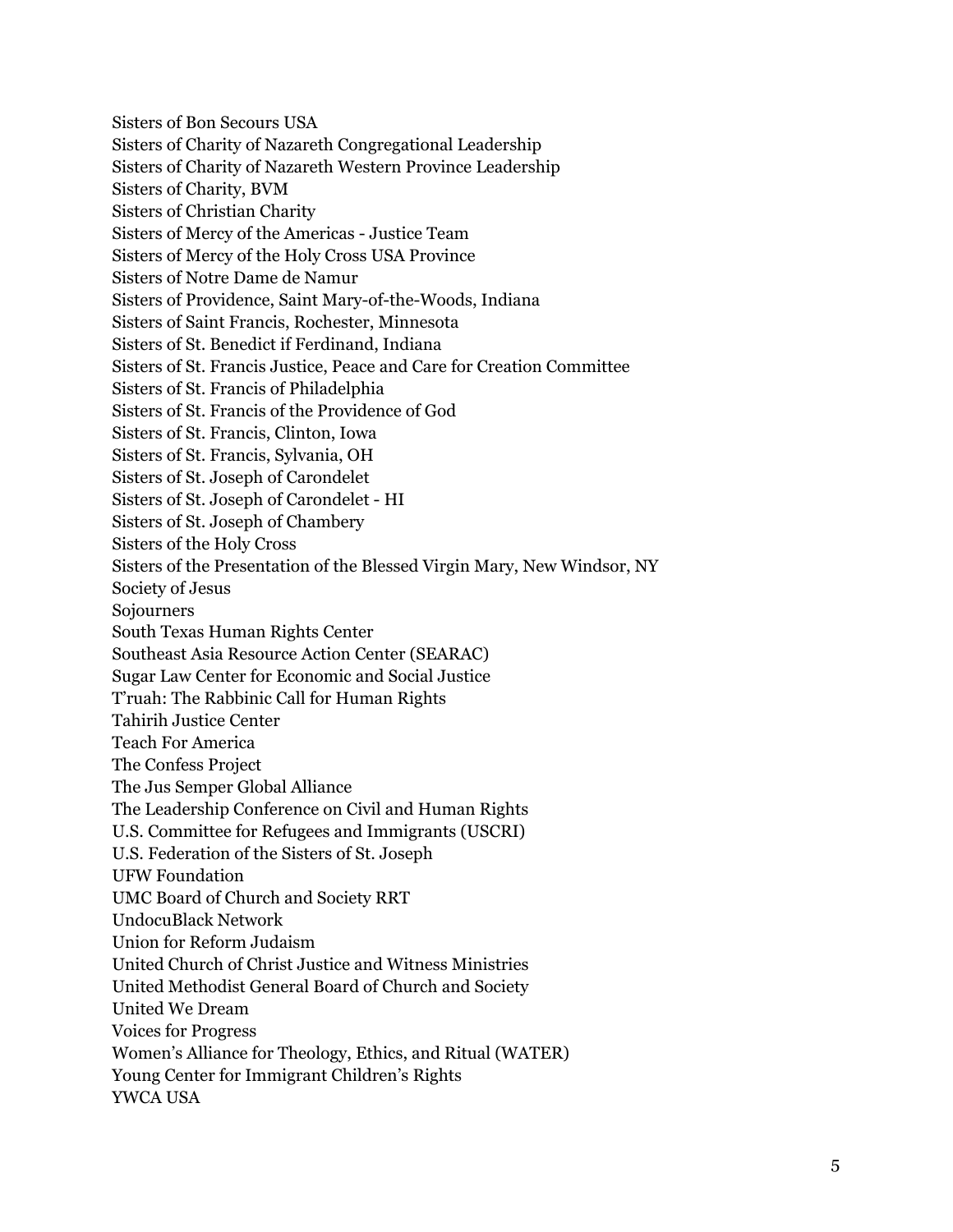Sisters of Bon Secours USA Sisters of Charity of Nazareth Congregational Leadership Sisters of Charity of Nazareth Western Province Leadership Sisters of Charity, BVM Sisters of Christian Charity Sisters of Mercy of the Americas - Justice Team Sisters of Mercy of the Holy Cross USA Province Sisters of Notre Dame de Namur Sisters of Providence, Saint Mary-of-the-Woods, Indiana Sisters of Saint Francis, Rochester, Minnesota Sisters of St. Benedict if Ferdinand, Indiana Sisters of St. Francis Justice, Peace and Care for Creation Committee Sisters of St. Francis of Philadelphia Sisters of St. Francis of the Providence of God Sisters of St. Francis, Clinton, Iowa Sisters of St. Francis, Sylvania, OH Sisters of St. Joseph of Carondelet Sisters of St. Joseph of Carondelet - HI Sisters of St. Joseph of Chambery Sisters of the Holy Cross Sisters of the Presentation of the Blessed Virgin Mary, New Windsor, NY Society of Jesus Sojourners South Texas Human Rights Center Southeast Asia Resource Action Center (SEARAC) Sugar Law Center for Economic and Social Justice T'ruah: The Rabbinic Call for Human Rights Tahirih Justice Center Teach For America The Confess Project The Jus Semper Global Alliance The Leadership Conference on Civil and Human Rights U.S. Committee for Refugees and Immigrants (USCRI) U.S. Federation of the Sisters of St. Joseph UFW Foundation UMC Board of Church and Society RRT UndocuBlack Network Union for Reform Judaism United Church of Christ Justice and Witness Ministries United Methodist General Board of Church and Society United We Dream Voices for Progress Women's Alliance for Theology, Ethics, and Ritual (WATER) Young Center for Immigrant Children's Rights YWCA USA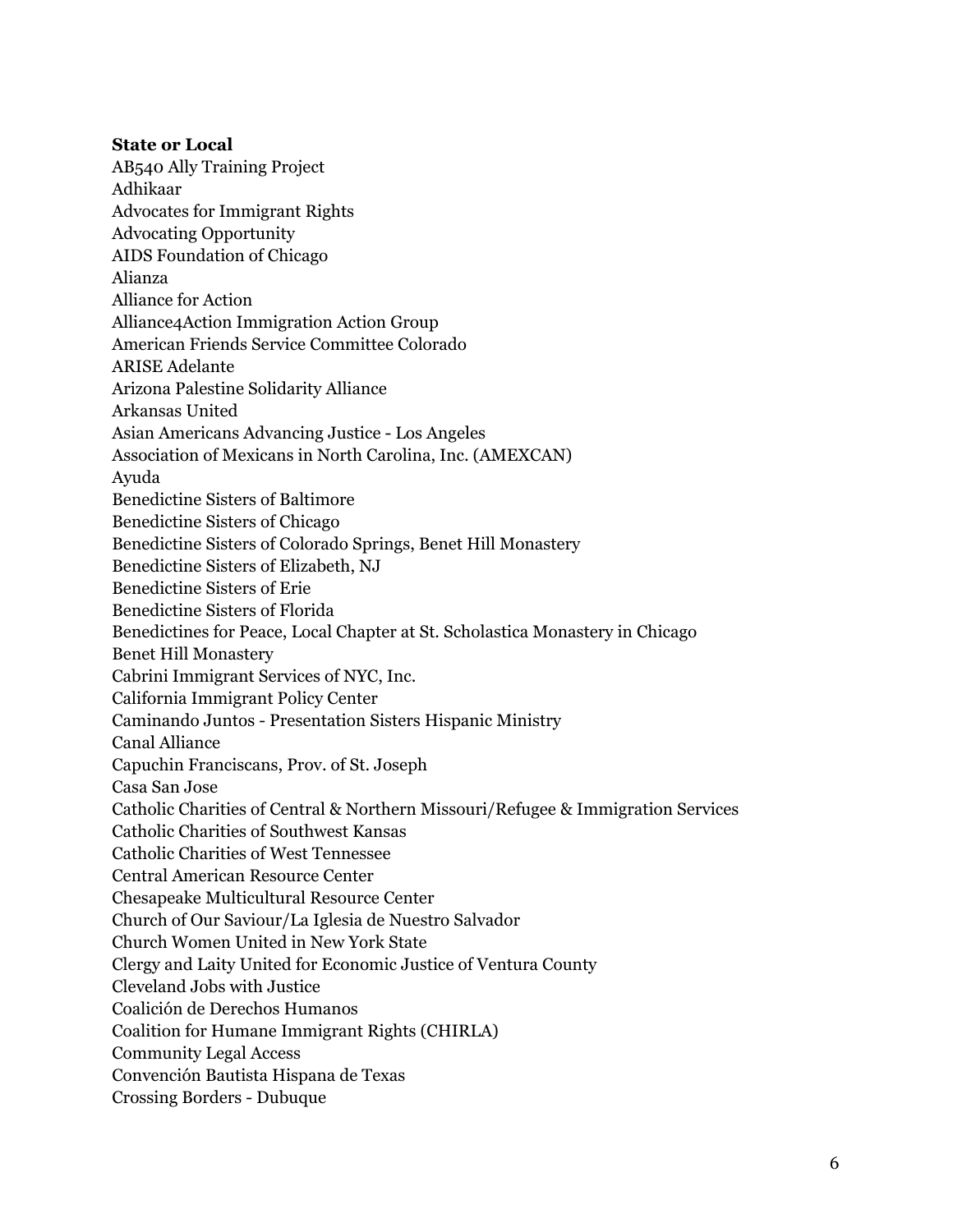### **State or Local**

AB540 Ally Training Project Adhikaar Advocates for Immigrant Rights Advocating Opportunity AIDS Foundation of Chicago Alianza Alliance for Action Alliance4Action Immigration Action Group American Friends Service Committee Colorado ARISE Adelante Arizona Palestine Solidarity Alliance Arkansas United Asian Americans Advancing Justice - Los Angeles Association of Mexicans in North Carolina, Inc. (AMEXCAN) Ayuda Benedictine Sisters of Baltimore Benedictine Sisters of Chicago Benedictine Sisters of Colorado Springs, Benet Hill Monastery Benedictine Sisters of Elizabeth, NJ Benedictine Sisters of Erie Benedictine Sisters of Florida Benedictines for Peace, Local Chapter at St. Scholastica Monastery in Chicago Benet Hill Monastery Cabrini Immigrant Services of NYC, Inc. California Immigrant Policy Center Caminando Juntos - Presentation Sisters Hispanic Ministry Canal Alliance Capuchin Franciscans, Prov. of St. Joseph Casa San Jose Catholic Charities of Central & Northern Missouri/Refugee & Immigration Services Catholic Charities of Southwest Kansas Catholic Charities of West Tennessee Central American Resource Center Chesapeake Multicultural Resource Center Church of Our Saviour/La Iglesia de Nuestro Salvador Church Women United in New York State Clergy and Laity United for Economic Justice of Ventura County Cleveland Jobs with Justice Coalición de Derechos Humanos Coalition for Humane Immigrant Rights (CHIRLA) Community Legal Access Convención Bautista Hispana de Texas Crossing Borders - Dubuque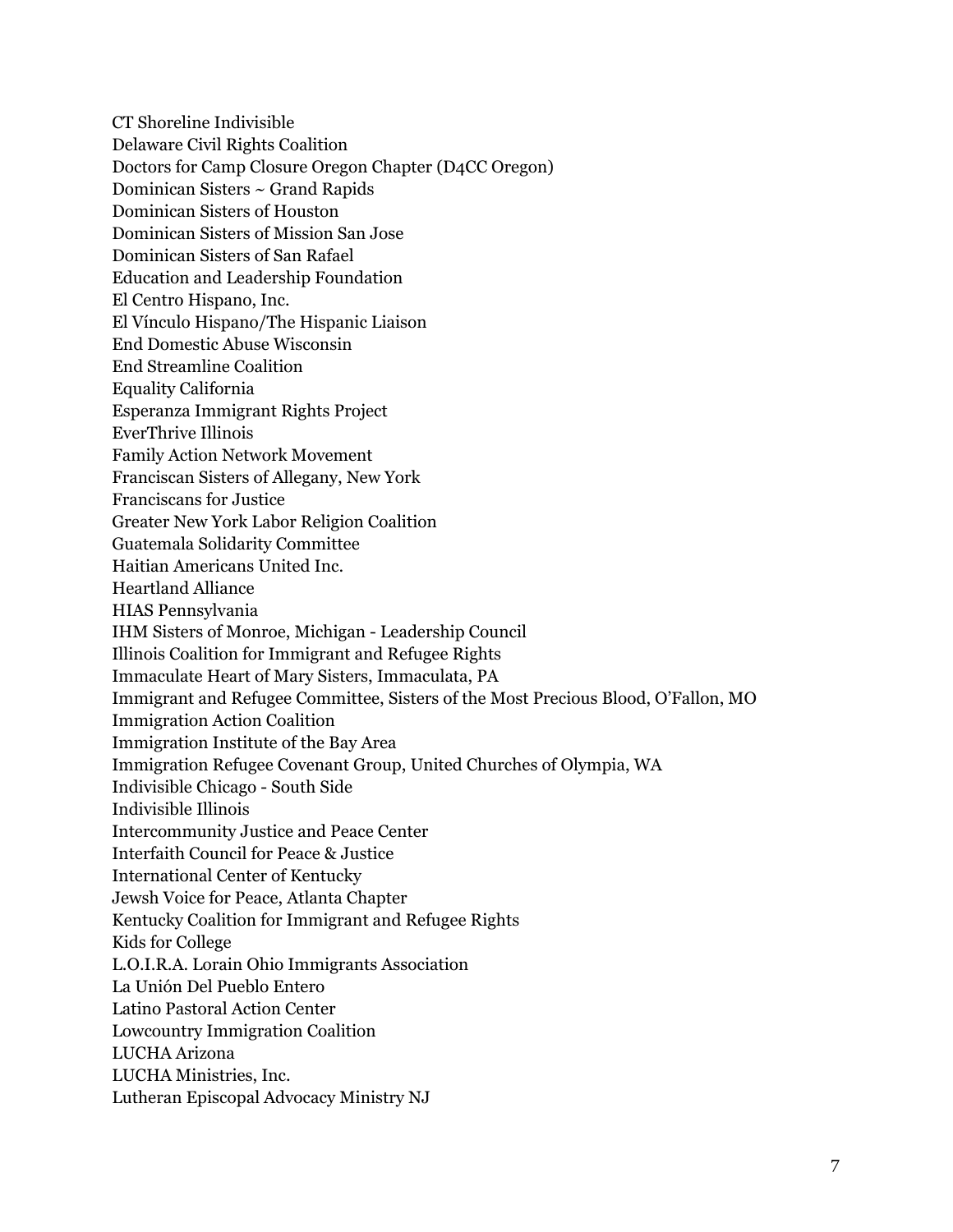CT Shoreline Indivisible Delaware Civil Rights Coalition Doctors for Camp Closure Oregon Chapter (D4CC Oregon) Dominican Sisters ~ Grand Rapids Dominican Sisters of Houston Dominican Sisters of Mission San Jose Dominican Sisters of San Rafael Education and Leadership Foundation El Centro Hispano, Inc. El Vínculo Hispano/The Hispanic Liaison End Domestic Abuse Wisconsin End Streamline Coalition Equality California Esperanza Immigrant Rights Project EverThrive Illinois Family Action Network Movement Franciscan Sisters of Allegany, New York Franciscans for Justice Greater New York Labor Religion Coalition Guatemala Solidarity Committee Haitian Americans United Inc. Heartland Alliance HIAS Pennsylvania IHM Sisters of Monroe, Michigan - Leadership Council Illinois Coalition for Immigrant and Refugee Rights Immaculate Heart of Mary Sisters, Immaculata, PA Immigrant and Refugee Committee, Sisters of the Most Precious Blood, O'Fallon, MO Immigration Action Coalition Immigration Institute of the Bay Area Immigration Refugee Covenant Group, United Churches of Olympia, WA Indivisible Chicago - South Side Indivisible Illinois Intercommunity Justice and Peace Center Interfaith Council for Peace & Justice International Center of Kentucky Jewsh Voice for Peace, Atlanta Chapter Kentucky Coalition for Immigrant and Refugee Rights Kids for College L.O.I.R.A. Lorain Ohio Immigrants Association La Unión Del Pueblo Entero Latino Pastoral Action Center Lowcountry Immigration Coalition LUCHA Arizona LUCHA Ministries, Inc. Lutheran Episcopal Advocacy Ministry NJ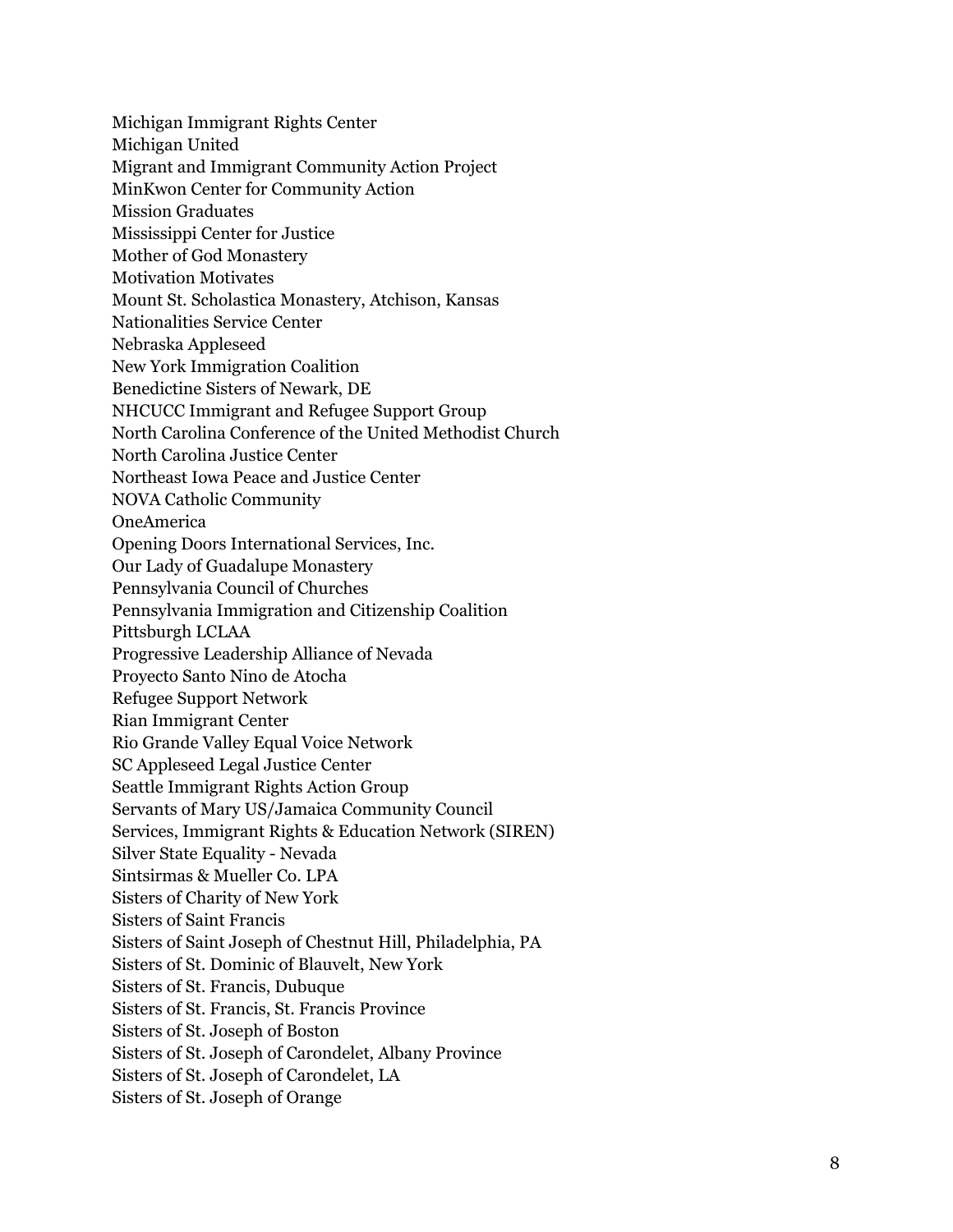Michigan Immigrant Rights Center Michigan United Migrant and Immigrant Community Action Project MinKwon Center for Community Action Mission Graduates Mississippi Center for Justice Mother of God Monastery **Motivation Motivates** Mount St. Scholastica Monastery, Atchison, Kansas Nationalities Service Center Nebraska Appleseed New York Immigration Coalition Benedictine Sisters of Newark, DE NHCUCC Immigrant and Refugee Support Group North Carolina Conference of the United Methodist Church North Carolina Justice Center Northeast Iowa Peace and Justice Center NOVA Catholic Community **OneAmerica** Opening Doors International Services, Inc. Our Lady of Guadalupe Monastery Pennsylvania Council of Churches Pennsylvania Immigration and Citizenship Coalition Pittsburgh LCLAA Progressive Leadership Alliance of Nevada Proyecto Santo Nino de Atocha Refugee Support Network Rian Immigrant Center Rio Grande Valley Equal Voice Network SC Appleseed Legal Justice Center Seattle Immigrant Rights Action Group Servants of Mary US/Jamaica Community Council Services, Immigrant Rights & Education Network (SIREN) Silver State Equality - Nevada Sintsirmas & Mueller Co. LPA Sisters of Charity of New York Sisters of Saint Francis Sisters of Saint Joseph of Chestnut Hill, Philadelphia, PA Sisters of St. Dominic of Blauvelt, New York Sisters of St. Francis, Dubuque Sisters of St. Francis, St. Francis Province Sisters of St. Joseph of Boston Sisters of St. Joseph of Carondelet, Albany Province Sisters of St. Joseph of Carondelet, LA Sisters of St. Joseph of Orange